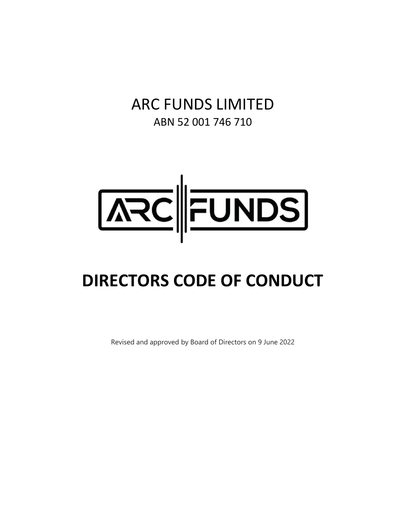# ARC FUNDS LIMITED ABN 52 001 746 710



# **DIRECTORS CODE OF CONDUCT**

Revised and approved by Board of Directors on 9 June 2022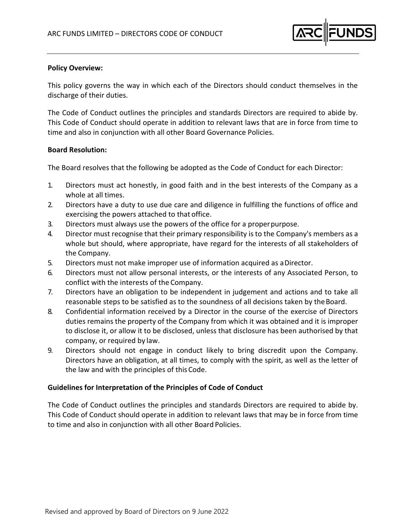

## **Policy Overview:**

This policy governs the way in which each of the Directors should conduct themselves in the discharge of their duties.

The Code of Conduct outlines the principles and standards Directors are required to abide by. This Code of Conduct should operate in addition to relevant laws that are in force from time to time and also in conjunction with all other Board Governance Policies.

### **Board Resolution:**

The Board resolves that the following be adopted as the Code of Conduct for each Director:

- 1. Directors must act honestly, in good faith and in the best interests of the Company as a whole at all times.
- 2. Directors have a duty to use due care and diligence in fulfilling the functions of office and exercising the powers attached to that office.
- 3. Directors must always use the powers of the office for a properpurpose.
- 4. Director must recognise that their primary responsibility is to the Company's members as a whole but should, where appropriate, have regard for the interests of all stakeholders of the Company.
- 5. Directors must not make improper use of information acquired as aDirector.
- 6. Directors must not allow personal interests, or the interests of any Associated Person, to conflict with the interests of the Company.
- 7. Directors have an obligation to be independent in judgement and actions and to take all reasonable steps to be satisfied as to the soundness of all decisions taken by theBoard.
- 8. Confidential information received by a Director in the course of the exercise of Directors duties remains the property of the Company from which it was obtained and it is improper to disclose it, or allow it to be disclosed, unless that disclosure has been authorised by that company, or required by law.
- 9. Directors should not engage in conduct likely to bring discredit upon the Company. Directors have an obligation, at all times, to comply with the spirit, as well as the letter of the law and with the principles of thisCode.

# **Guidelines for Interpretation of the Principles of Code of Conduct**

The Code of Conduct outlines the principles and standards Directors are required to abide by. This Code of Conduct should operate in addition to relevant laws that may be in force from time to time and also in conjunction with all other Board Policies.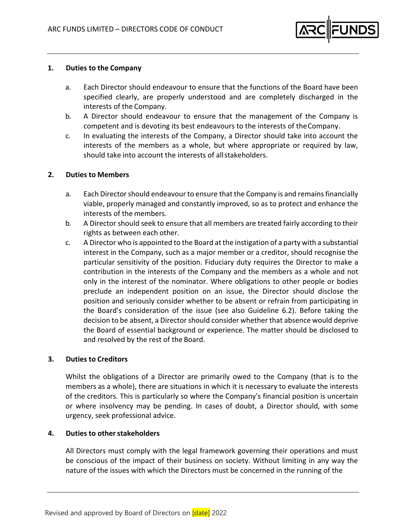

#### **1. Duties to the Company**

- a. Each Director should endeavour to ensure that the functions of the Board have been specified clearly, are properly understood and are completely discharged in the interests of the Company.
- b. A Director should endeavour to ensure that the management of the Company is competent and is devoting its best endeavours to the interests of theCompany.
- c. In evaluating the interests of the Company, a Director should take into account the interests of the members as a whole, but where appropriate or required by law, should take into account the interests of allstakeholders.

### **2. Duties to Members**

- a. Each Director should endeavour to ensure that the Company is and remains financially viable, properly managed and constantly improved, so as to protect and enhance the interests of the members.
- b. A Director should seek to ensure that all members are treated fairly according to their rights as between each other.
- c. A Director who is appointed to the Board at the instigation of a party with a substantial interest in the Company, such as a major member or a creditor, should recognise the particular sensitivity of the position. Fiduciary duty requires the Director to make a contribution in the interests of the Company and the members as a whole and not only in the interest of the nominator. Where obligations to other people or bodies preclude an independent position on an issue, the Director should disclose the position and seriously consider whether to be absent or refrain from participating in the Board's consideration of the issue (see also Guideline 6.2). Before taking the decision to be absent, a Director should consider whether that absence would deprive the Board of essential background or experience. The matter should be disclosed to and resolved by the rest of the Board.

#### **3. Duties to Creditors**

Whilst the obligations of a Director are primarily owed to the Company (that is to the members as a whole), there are situations in which it is necessary to evaluate the interests of the creditors. This is particularly so where the Company's financial position is uncertain or where insolvency may be pending. In cases of doubt, a Director should, with some urgency, seek professional advice.

#### **4. Duties to otherstakeholders**

All Directors must comply with the legal framework governing their operations and must be conscious of the impact of their business on society. Without limiting in any way the nature of the issues with which the Directors must be concerned in the running of the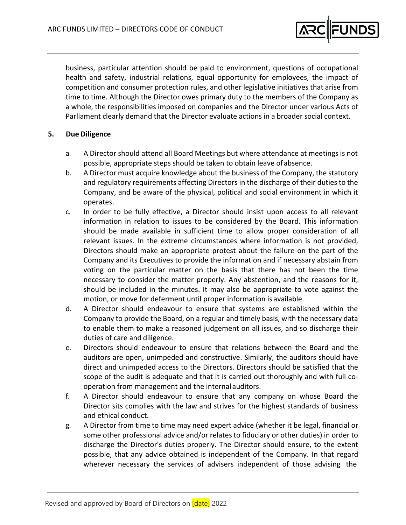

business, particular attention should be paid to environment, questions of occupational health and safety, industrial relations, equal opportunity for employees, the impact of competition and consumer protection rules, and other legislative initiatives that arise from time to time. Although the Director owes primary duty to the members of the Company as a whole, the responsibilities imposed on companies and the Director under various Acts of Parliament clearly demand that the Director evaluate actions in a broader social context.

### **5. Due Diligence**

- a. A Director should attend all Board Meetings but where attendance at meetings is not possible, appropriate steps should be taken to obtain leave ofabsence.
- b. A Director must acquire knowledge about the business of the Company, the statutory and regulatory requirements affecting Directors in the discharge of their duties to the Company, and be aware of the physical, political and social environment in which it operates.
- c. In order to be fully effective, a Director should insist upon access to all relevant information in relation to issues to be considered by the Board. This information should be made available in sufficient time to allow proper consideration of all relevant issues. In the extreme circumstances where information is not provided, Directors should make an appropriate protest about the failure on the part of the Company and its Executives to provide the information and if necessary abstain from voting on the particular matter on the basis that there has not been the time necessary to consider the matter properly. Any abstention, and the reasons for it, should be included in the minutes. It may also be appropriate to vote against the motion, or move for deferment until proper information is available.
- d. A Director should endeavour to ensure that systems are established within the Company to provide the Board, on a regular and timely basis, with the necessary data to enable them to make a reasoned judgement on all issues, and so discharge their duties of care and diligence.
- e. Directors should endeavour to ensure that relations between the Board and the auditors are open, unimpeded and constructive. Similarly, the auditors should have direct and unimpeded access to the Directors. Directors should be satisfied that the scope of the audit is adequate and that it is carried out thoroughly and with full cooperation from management and the internal auditors.
- f. A Director should endeavour to ensure that any company on whose Board the Director sits complies with the law and strives for the highest standards of business and ethical conduct.
- g. A Director from time to time may need expert advice (whether it be legal, financial or some other professional advice and/or relates to fiduciary or other duties) in order to discharge the Director's duties properly. The Director should ensure, to the extent possible, that any advice obtained is independent of the Company. In that regard wherever necessary the services of advisers independent of those advising the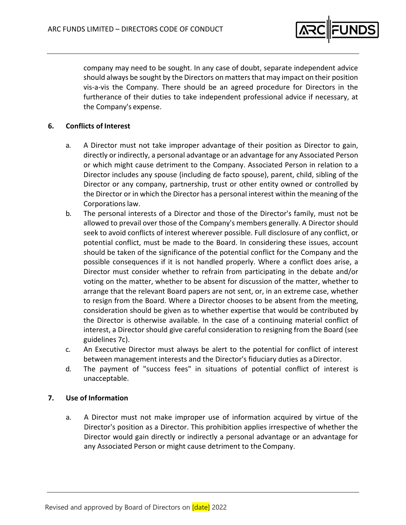

company may need to be sought. In any case of doubt, separate independent advice should always be sought by the Directors on matters that may impact on their position vis‐a‐vis the Company. There should be an agreed procedure for Directors in the furtherance of their duties to take independent professional advice if necessary, at the Company's expense.

# **6. Conflicts of Interest**

- a. A Director must not take improper advantage of their position as Director to gain, directly or indirectly, a personal advantage or an advantage for any Associated Person or which might cause detriment to the Company. Associated Person in relation to a Director includes any spouse (including de facto spouse), parent, child, sibling of the Director or any company, partnership, trust or other entity owned or controlled by the Director or in which the Director has a personal interest within the meaning of the Corporations law.
- b. The personal interests of a Director and those of the Director's family, must not be allowed to prevail over those of the Company's members generally. A Director should seek to avoid conflicts of interest wherever possible. Full disclosure of any conflict, or potential conflict, must be made to the Board. In considering these issues, account should be taken of the significance of the potential conflict for the Company and the possible consequences if it is not handled properly. Where a conflict does arise, a Director must consider whether to refrain from participating in the debate and/or voting on the matter, whether to be absent for discussion of the matter, whether to arrange that the relevant Board papers are not sent, or, in an extreme case, whether to resign from the Board. Where a Director chooses to be absent from the meeting, consideration should be given as to whether expertise that would be contributed by the Director is otherwise available. In the case of a continuing material conflict of interest, a Director should give careful consideration to resigning from the Board (see guidelines 7c).
- c. An Executive Director must always be alert to the potential for conflict of interest between management interests and the Director's fiduciary duties as aDirector.
- d. The payment of "success fees" in situations of potential conflict of interest is unacceptable.

# **7. Use of Information**

a. A Director must not make improper use of information acquired by virtue of the Director's position as a Director. This prohibition applies irrespective of whether the Director would gain directly or indirectly a personal advantage or an advantage for any Associated Person or might cause detriment to the Company.